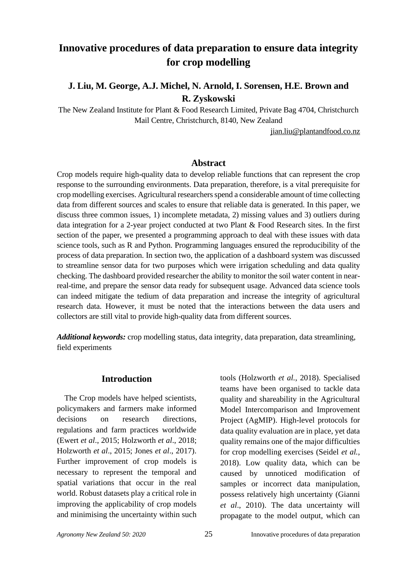# **Innovative procedures of data preparation to ensure data integrity for crop modelling**

# **J. Liu, M. George, A.J. Michel, N. Arnold, I. Sorensen, H.E. Brown and R. Zyskowski**

The New Zealand Institute for Plant & Food Research Limited, Private Bag 4704, Christchurch Mail Centre, Christchurch, 8140, New Zealand

jian.liu@plantandfood.co.nz

# **Abstract**

Crop models require high-quality data to develop reliable functions that can represent the crop response to the surrounding environments. Data preparation, therefore, is a vital prerequisite for crop modelling exercises. Agricultural researchers spend a considerable amount of time collecting data from different sources and scales to ensure that reliable data is generated. In this paper, we discuss three common issues, 1) incomplete metadata, 2) missing values and 3) outliers during data integration for a 2-year project conducted at two Plant & Food Research sites. In the first section of the paper, we presented a programming approach to deal with these issues with data science tools, such as R and Python. Programming languages ensured the reproducibility of the process of data preparation. In section two, the application of a dashboard system was discussed to streamline sensor data for two purposes which were irrigation scheduling and data quality checking. The dashboard provided researcher the ability to monitor the soil water content in nearreal-time, and prepare the sensor data ready for subsequent usage. Advanced data science tools can indeed mitigate the tedium of data preparation and increase the integrity of agricultural research data. However, it must be noted that the interactions between the data users and collectors are still vital to provide high-quality data from different sources.

*Additional keywords:* crop modelling status, data integrity, data preparation, data streamlining, field experiments

# **Introduction**

The Crop models have helped scientists, policymakers and farmers make informed decisions on research directions, regulations and farm practices worldwide (Ewert *et al*., 2015; Holzworth *et al*., 2018; Holzworth *et al*., 2015; Jones *et al*., 2017). Further improvement of crop models is necessary to represent the temporal and spatial variations that occur in the real world. Robust datasets play a critical role in improving the applicability of crop models and minimising the uncertainty within such tools (Holzworth *et al.*, 2018). Specialised teams have been organised to tackle data quality and shareability in the Agricultural Model Intercomparison and Improvement Project (AgMIP). High-level protocols for data quality evaluation are in place, yet data quality remains one of the major difficulties for crop modelling exercises (Seidel *et al.*, 2018). Low quality data, which can be caused by unnoticed modification of samples or incorrect data manipulation, possess relatively high uncertainty (Gianni *et al*., 2010). The data uncertainty will propagate to the model output, which can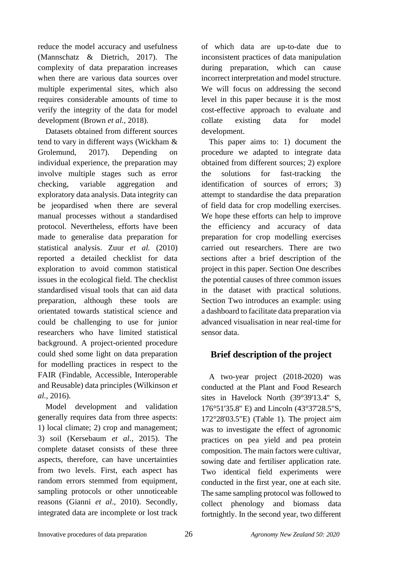reduce the model accuracy and usefulness (Mannschatz & Dietrich, 2017). The complexity of data preparation increases when there are various data sources over multiple experimental sites, which also requires considerable amounts of time to verify the integrity of the data for model development (Brown *et al.*, 2018).

Datasets obtained from different sources tend to vary in different ways (Wickham & Grolemund, 2017). Depending on individual experience, the preparation may involve multiple stages such as error checking, variable aggregation and exploratory data analysis. Data integrity can be jeopardised when there are several manual processes without a standardised protocol. Nevertheless, efforts have been made to generalise data preparation for statistical analysis. Zuur *et al.* (2010) reported a detailed checklist for data exploration to avoid common statistical issues in the ecological field. The checklist standardised visual tools that can aid data preparation, although these tools are orientated towards statistical science and could be challenging to use for junior researchers who have limited statistical background. A project-oriented procedure could shed some light on data preparation for modelling practices in respect to the FAIR (Findable, Accessible, Interoperable and Reusable) data principles (Wilkinson *et al.*, 2016).

Model development and validation generally requires data from three aspects: 1) local climate; 2) crop and management; 3) soil (Kersebaum *et al*., 2015). The complete dataset consists of these three aspects, therefore, can have uncertainties from two levels. First, each aspect has random errors stemmed from equipment, sampling protocols or other unnoticeable reasons (Gianni *et al*., 2010). Secondly, integrated data are incomplete or lost track of which data are up-to-date due to inconsistent practices of data manipulation during preparation, which can cause incorrect interpretation and model structure. We will focus on addressing the second level in this paper because it is the most cost-effective approach to evaluate and collate existing data for model development.

This paper aims to: 1) document the procedure we adapted to integrate data obtained from different sources; 2) explore the solutions for fast-tracking the identification of sources of errors; 3) attempt to standardise the data preparation of field data for crop modelling exercises. We hope these efforts can help to improve the efficiency and accuracy of data preparation for crop modelling exercises carried out researchers. There are two sections after a brief description of the project in this paper. Section One describes the potential causes of three common issues in the dataset with practical solutions. Section Two introduces an example: using a dashboard to facilitate data preparation via advanced visualisation in near real-time for sensor data.

# **Brief description of the project**

A two-year project (2018-2020) was conducted at the Plant and Food Research sites in Havelock North (39°39'13.4'' S, 176°51'35.8'' E) and Lincoln (43°37'28.5"S, 172°28'03.5"E) (Table 1). The project aim was to investigate the effect of agronomic practices on pea yield and pea protein composition. The main factors were cultivar, sowing date and fertiliser application rate. Two identical field experiments were conducted in the first year, one at each site. The same sampling protocol was followed to collect phenology and biomass data fortnightly. In the second year, two different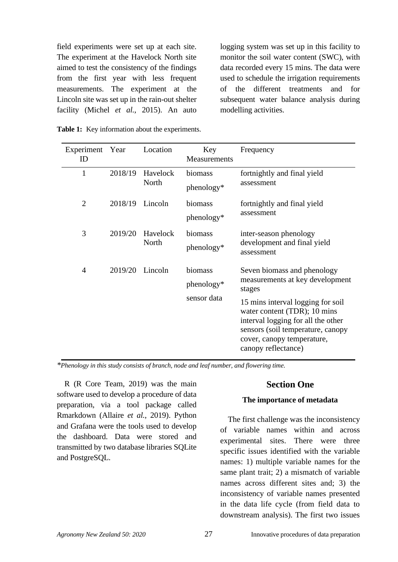field experiments were set up at each site. The experiment at the Havelock North site aimed to test the consistency of the findings from the first year with less frequent measurements. The experiment at the Lincoln site was set up in the rain-out shelter facility (Michel *et al.*, 2015). An auto logging system was set up in this facility to monitor the soil water content (SWC), with data recorded every 15 mins. The data were used to schedule the irrigation requirements of the different treatments and for subsequent water balance analysis during modelling activities.

|  | Table 1: Key information about the experiments. |  |  |
|--|-------------------------------------------------|--|--|
|--|-------------------------------------------------|--|--|

| Experiment<br>ID | Year    | Location          | Key<br>Measurements                  | Frequency                                                                                                                                                                                                                                                                     |
|------------------|---------|-------------------|--------------------------------------|-------------------------------------------------------------------------------------------------------------------------------------------------------------------------------------------------------------------------------------------------------------------------------|
| 1                | 2018/19 | Havelock<br>North | biomass<br>phenology*                | fortnightly and final yield<br>assessment                                                                                                                                                                                                                                     |
| $\overline{2}$   | 2018/19 | Lincoln           | biomass<br>phenology*                | fortnightly and final yield<br>assessment                                                                                                                                                                                                                                     |
| 3                | 2019/20 | Havelock<br>North | biomass<br>phenology*                | inter-season phenology<br>development and final yield<br>assessment                                                                                                                                                                                                           |
| 4                | 2019/20 | Lincoln           | biomass<br>phenology*<br>sensor data | Seven biomass and phenology<br>measurements at key development<br>stages<br>15 mins interval logging for soil<br>water content (TDR); 10 mins<br>interval logging for all the other<br>sensors (soil temperature, canopy<br>cover, canopy temperature,<br>canopy reflectance) |

*\*Phenology in this study consists of branch, node and leaf number, and flowering time.*

R (R Core Team, 2019) was the main software used to develop a procedure of data preparation, via a tool package called Rmarkdown (Allaire *et al.*, 2019). Python and Grafana were the tools used to develop the dashboard. Data were stored and transmitted by two database libraries SQLite and PostgreSQL.

# **Section One**

#### **The importance of metadata**

The first challenge was the inconsistency of variable names within and across experimental sites. There were three specific issues identified with the variable names: 1) multiple variable names for the same plant trait; 2) a mismatch of variable names across different sites and; 3) the inconsistency of variable names presented in the data life cycle (from field data to downstream analysis). The first two issues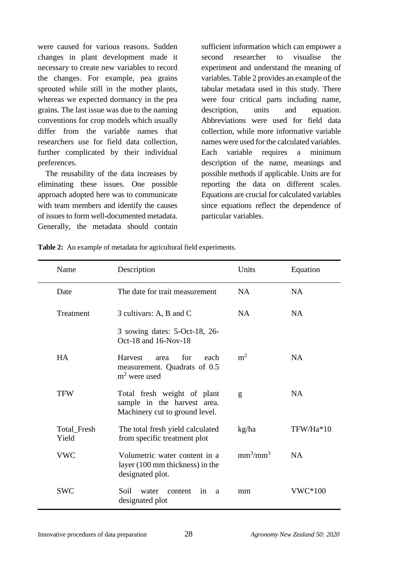were caused for various reasons. Sudden changes in plant development made it necessary to create new variables to record the changes. For example, pea grains sprouted while still in the mother plants, whereas we expected dormancy in the pea grains. The last issue was due to the naming conventions for crop models which usually differ from the variable names that researchers use for field data collection, further complicated by their individual preferences.

The reusability of the data increases by eliminating these issues. One possible approach adopted here was to communicate with team members and identify the causes of issues to form well-documented metadata. Generally, the metadata should contain

sufficient information which can empower a second researcher to visualise the experiment and understand the meaning of variables. Table 2 provides an example of the tabular metadata used in this study. There were four critical parts including name, description, units and equation. Abbreviations were used for field data collection, while more informative variable names were used for the calculated variables. Each variable requires a minimum description of the name, meanings and possible methods if applicable. Units are for reporting the data on different scales. Equations are crucial for calculated variables since equations reflect the dependence of particular variables.

| Name                 | Description                                                                                  | Units                            | Equation  |
|----------------------|----------------------------------------------------------------------------------------------|----------------------------------|-----------|
| Date                 | The date for trait measurement                                                               | NA                               | <b>NA</b> |
| Treatment            | 3 cultivars: A, B and C                                                                      | NA                               | <b>NA</b> |
|                      | 3 sowing dates: 5-Oct-18, 26-<br>Oct-18 and 16-Nov-18                                        |                                  |           |
| <b>HA</b>            | for<br>each<br><b>Harvest</b><br>area<br>measurement. Quadrats of 0.5<br>$m2$ were used      | m <sup>2</sup>                   | <b>NA</b> |
| <b>TFW</b>           | Total fresh weight of plant<br>sample in the harvest area.<br>Machinery cut to ground level. | g                                | <b>NA</b> |
| Total_Fresh<br>Yield | The total fresh yield calculated<br>from specific treatment plot                             | kg/ha                            | TFW/Ha*10 |
| <b>VWC</b>           | Volumetric water content in a<br>layer (100 mm thickness) in the<br>designated plot.         | mm <sup>3</sup> /mm <sup>3</sup> | <b>NA</b> |
| <b>SWC</b>           | Soil<br>water<br>content<br>in<br>a<br>designated plot                                       | mm                               | VWC*100   |

**Table 2:** An example of metadata for agricultural field experiments.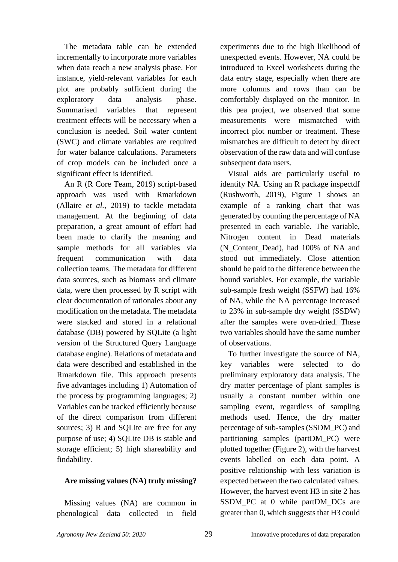The metadata table can be extended incrementally to incorporate more variables when data reach a new analysis phase. For instance, yield-relevant variables for each plot are probably sufficient during the exploratory data analysis phase. Summarised variables that represent treatment effects will be necessary when a conclusion is needed. Soil water content (SWC) and climate variables are required for water balance calculations. Parameters of crop models can be included once a significant effect is identified.

An R (R Core Team, 2019) script-based approach was used with Rmarkdown (Allaire *et al.*, 2019) to tackle metadata management. At the beginning of data preparation, a great amount of effort had been made to clarify the meaning and sample methods for all variables via frequent communication with data collection teams. The metadata for different data sources, such as biomass and climate data, were then processed by R script with clear documentation of rationales about any modification on the metadata. The metadata were stacked and stored in a relational database (DB) powered by SQLite (a light version of the Structured Query Language database engine). Relations of metadata and data were described and established in the Rmarkdown file. This approach presents five advantages including 1) Automation of the process by programming languages; 2) Variables can be tracked efficiently because of the direct comparison from different sources; 3) R and SOLite are free for any purpose of use; 4) SQLite DB is stable and storage efficient; 5) high shareability and findability.

#### **Are missing values (NA) truly missing?**

Missing values (NA) are common in phenological data collected in field

experiments due to the high likelihood of unexpected events. However, NA could be introduced to Excel worksheets during the data entry stage, especially when there are more columns and rows than can be comfortably displayed on the monitor. In this pea project, we observed that some measurements were mismatched with incorrect plot number or treatment. These mismatches are difficult to detect by direct observation of the raw data and will confuse subsequent data users.

Visual aids are particularly useful to identify NA. Using an R package inspectdf (Rushworth, 2019), Figure 1 shows an example of a ranking chart that was generated by counting the percentage of NA presented in each variable. The variable, Nitrogen content in Dead materials (N\_Content\_Dead), had 100% of NA and stood out immediately. Close attention should be paid to the difference between the bound variables. For example, the variable sub-sample fresh weight (SSFW) had 16% of NA, while the NA percentage increased to 23% in sub-sample dry weight (SSDW) after the samples were oven-dried*.* These two variables should have the same number of observations.

To further investigate the source of NA, key variables were selected to do preliminary exploratory data analysis. The dry matter percentage of plant samples is usually a constant number within one sampling event, regardless of sampling methods used. Hence, the dry matter percentage of sub-samples(SSDM\_PC) and partitioning samples (partDM\_PC) were plotted together (Figure 2), with the harvest events labelled on each data point. A positive relationship with less variation is expected between the two calculated values. However, the harvest event H3 in site 2 has SSDM\_PC\_at\_0\_while\_partDM\_DCs\_are greater than 0, which suggests that H3 could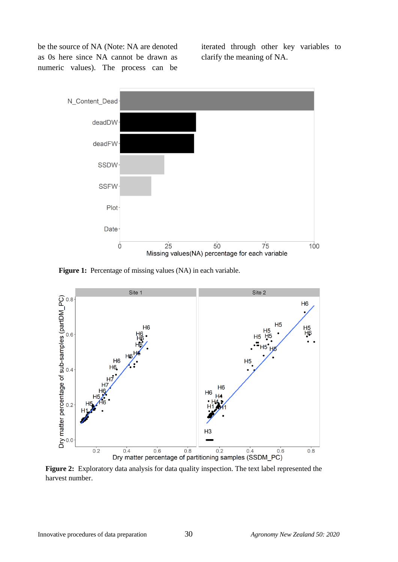be the source of NA (Note: NA are denoted as 0s here since NA cannot be drawn as numeric values). The process can be iterated through other key variables to clarify the meaning of NA.



Figure 1: Percentage of missing values (NA) in each variable.



**Figure 2:** Exploratory data analysis for data quality inspection. The text label represented the harvest number.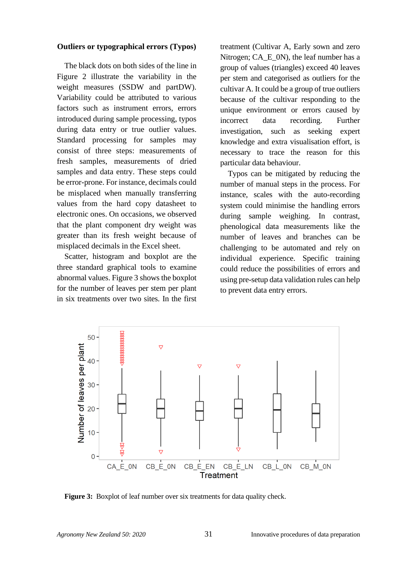#### **Outliers or typographical errors (Typos)**

The black dots on both sides of the line in Figure 2 illustrate the variability in the weight measures (SSDW and partDW). Variability could be attributed to various factors such as instrument errors, errors introduced during sample processing, typos during data entry or true outlier values. Standard processing for samples may consist of three steps: measurements of fresh samples, measurements of dried samples and data entry. These steps could be error-prone. For instance, decimals could be misplaced when manually transferring values from the hard copy datasheet to electronic ones. On occasions, we observed that the plant component dry weight was greater than its fresh weight because of misplaced decimals in the Excel sheet.

Scatter, histogram and boxplot are the three standard graphical tools to examine abnormal values. Figure 3 shows the boxplot for the number of leaves per stem per plant in six treatments over two sites. In the first treatment (Cultivar A, Early sown and zero Nitrogen; CA E 0N), the leaf number has a group of values (triangles) exceed 40 leaves per stem and categorised as outliers for the cultivar A. It could be a group of true outliers because of the cultivar responding to the unique environment or errors caused by incorrect data recording. Further investigation, such as seeking expert knowledge and extra visualisation effort, is necessary to trace the reason for this particular data behaviour.

Typos can be mitigated by reducing the number of manual steps in the process. For instance, scales with the auto-recording system could minimise the handling errors during sample weighing. In contrast, phenological data measurements like the number of leaves and branches can be challenging to be automated and rely on individual experience. Specific training could reduce the possibilities of errors and using pre-setup data validation rules can help to prevent data entry errors.



**Figure 3:** Boxplot of leaf number over six treatments for data quality check.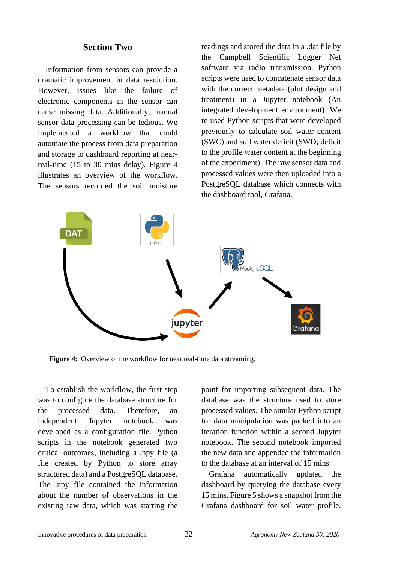# **Section Two**

Information from sensors can provide a dramatic improvement in data resolution. However, issues like the failure of electronic components in the sensor can cause missing data. Additionally, manual sensor data processing can be tedious. We implemented a workflow that could automate the process from data preparation and storage to dashboard reporting at nearreal-time (15 to 30 mins delay). Figure 4 illustrates an overview of the workflow. The sensors recorded the soil moisture readings and stored the data in a **.**dat file by the Campbell Scientific Logger Net software via radio transmission. Python scripts were used to concatenate sensor data with the correct metadata (plot design and treatment) in a Jupyter notebook (An integrated development environment). We re-used Python scripts that were developed previously to calculate soil water content (SWC) and soil water deficit (SWD; deficit to the profile water content at the beginning of the experiment). The raw sensor data and processed values were then uploaded into a PostgreSQL database which connects with the dashboard tool, Grafana.



Figure 4: Overview of the workflow for near real-time data streaming.

To establish the workflow, the first step was to configure the database structure for the processed data. Therefore, an independent Jupyter notebook was developed as a configuration file. Python scripts in the notebook generated two critical outcomes, including a .npy file (a file created by Python to store array structured data) and a PostgreSQL database. The .npy file contained the information about the number of observations in the existing raw data, which was starting the point for importing subsequent data. The database was the structure used to store processed values. The similar Python script for data manipulation was packed into an iteration function within a second Jupyter notebook. The second notebook imported the new data and appended the information to the database at an interval of 15 mins.

Grafana automatically updated the dashboard by querying the database every 15 mins. Figure 5 shows a snapshot from the Grafana dashboard for soil water profile.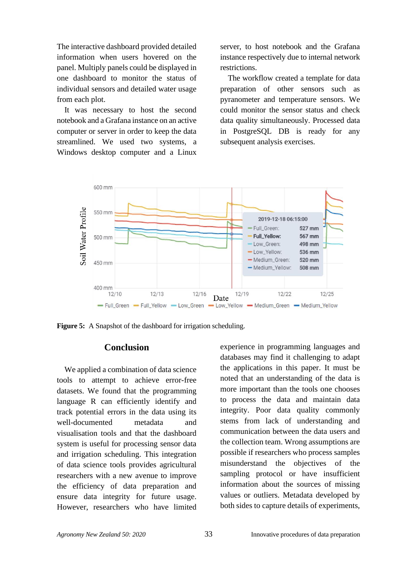The interactive dashboard provided detailed information when users hovered on the panel. Multiply panels could be displayed in one dashboard to monitor the status of individual sensors and detailed water usage from each plot.

It was necessary to host the second notebook and a Grafana instance on an active computer or server in order to keep the data streamlined. We used two systems, a Windows desktop computer and a Linux

server, to host notebook and the Grafana instance respectively due to internal network restrictions.

The workflow created a template for data preparation of other sensors such as pyranometer and temperature sensors. We could monitor the sensor status and check data quality simultaneously. Processed data in PostgreSQL DB is ready for any subsequent analysis exercises.



**Figure 5:** A Snapshot of the dashboard for irrigation scheduling.

# **Conclusion**

We applied a combination of data science tools to attempt to achieve error-free datasets. We found that the programming language R can efficiently identify and track potential errors in the data using its well-documented metadata and visualisation tools and that the dashboard system is useful for processing sensor data and irrigation scheduling. This integration of data science tools provides agricultural researchers with a new avenue to improve the efficiency of data preparation and ensure data integrity for future usage. However, researchers who have limited experience in programming languages and databases may find it challenging to adapt the applications in this paper. It must be noted that an understanding of the data is more important than the tools one chooses to process the data and maintain data integrity. Poor data quality commonly stems from lack of understanding and communication between the data users and the collection team. Wrong assumptions are possible if researchers who process samples misunderstand the objectives of the sampling protocol or have insufficient information about the sources of missing values or outliers. Metadata developed by both sides to capture details of experiments,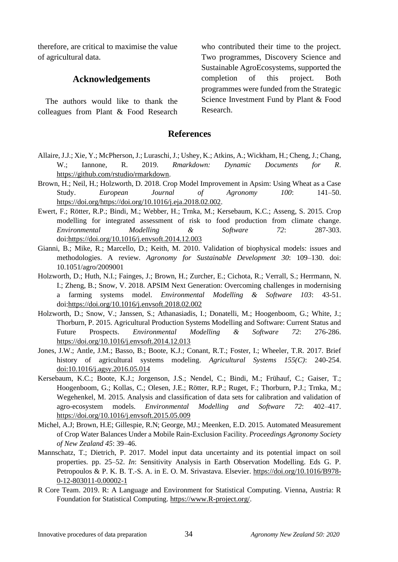therefore, are critical to maximise the value of agricultural data.

# **Acknowledgements**

The authors would like to thank the colleagues from Plant & Food Research

who contributed their time to the project. Two programmes, Discovery Science and Sustainable AgroEcosystems, supported the completion of this project. Both programmes were funded from the Strategic Science Investment Fund by Plant & Food Research.

#### **References**

- Allaire, J.J.; Xie, Y.; McPherson, J.; Luraschi, J.; Ushey, K.; Atkins, A.; Wickham, H.; Cheng, J.; Chang, W.; Iannone, R. 2019. *Rmarkdown: Dynamic Documents for R*. [https://github.com/rstudio/rmarkdown.](https://github.com/rstudio/rmarkdown)
- Brown, H.; Neil, H.; Holzworth, D. 2018. Crop Model Improvement in Apsim: Using Wheat as a Case Study. *European Journal of Agronomy 100*: 141–50. [https://doi.org/https://doi.org/10.1016/j.eja.2018.02.002.](https://doi.org/https:/doi.org/10.1016/j.eja.2018.02.002)
- Ewert, F.; Rötter, R.P.; Bindi, M.; Webber, H.; Trnka, M.; Kersebaum, K.C.; Asseng, S. 2015. Crop modelling for integrated assessment of risk to food production from climate change. *Environmental Modelling & Software 72*: 287-303. doi:https://doi.org/10.1016/j.envsoft.2014.12.003
- Gianni, B.; Mike, R.; Marcello, D.; Keith, M. 2010. Validation of biophysical models: issues and methodologies. A review. *Agronomy for Sustainable Development 30*: 109–130. doi: 10.1051/agro/2009001
- Holzworth, D.; Huth, N.I.; Fainges, J.; Brown, H.; Zurcher, E.; Cichota, R.; Verrall, S.; Herrmann, N. I.; Zheng, B.; Snow, V. 2018. APSIM Next Generation: Overcoming challenges in modernising a farming systems model. *Environmental Modelling & Software 103*: 43-51. doi:https://doi.org/10.1016/j.envsoft.2018.02.002
- Holzworth, D.; Snow, V.; Janssen, S.; Athanasiadis, I.; Donatelli, M.; Hoogenboom, G.; White, J.; Thorburn, P. 2015. Agricultural Production Systems Modelling and Software: Current Status and Future Prospects. *Environmental Modelling & Software 72*: 276-286. <https://doi.org/10.1016/j.envsoft.2014.12.013>
- Jones, J.W.; Antle, J.M.; Basso, B.; Boote, K.J.; Conant, R.T.; Foster, I.; Wheeler, T.R. 2017. Brief history of agricultural systems modeling. *Agricultural Systems 155(C)*: 240-254. doi:10.1016/j.agsy.2016.05.014
- Kersebaum, K.C.; Boote, K.J.; Jorgenson, J.S.; Nendel, C.; Bindi, M.; Frühauf, C.; Gaiser, T.; Hoogenboom, G.; Kollas, C.; Olesen, J.E.; Rötter, R.P.; Ruget, F.; Thorburn, P.J.; Trnka, M.; Wegehenkel, M. 2015. Analysis and classification of data sets for calibration and validation of agro-ecosystem models. *Environmental Modelling and Software 72*: 402–417. https://doi.org/10.1016/j.envsoft.2015.05.009
- Michel, A.J; Brown, H.E; Gillespie, R.N; George, MJ.; Meenken, E.D. 2015. Automated Measurement of Crop Water Balances Under a Mobile Rain-Exclusion Facility. *Proceedings Agronomy Society of New Zealand 45*: 39–46.
- Mannschatz, T.; Dietrich, P. 2017. Model input data uncertainty and its potential impact on soil properties. pp. 25–52. *In*: Sensitivity Analysis in Earth Observation Modelling. Eds G. P. Petropoulos & P. K. B. T.-S. A. in E. O. M. Srivastava. Elsevier. https://doi.org/10.1016/B978- 0-12-803011-0.00002-1
- R Core Team. 2019. R: A Language and Environment for Statistical Computing. Vienna, Austria: R Foundation for Statistical Computing. [https://www.R-project.org/.](https://www.r-project.org/)